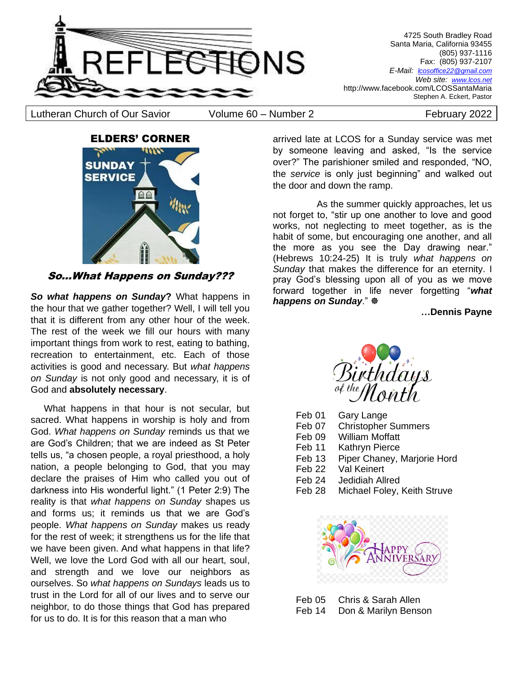

4725 South Bradley Road Santa Maria, California 93455 (805) 937-1116 Fax: (805) 937-2107 *E-Mail: lcosoffice22@gmail.com Web site: [www.lcos.net](http://www.lcos.net/)* http://www.facebook.com/LCOSSantaMaria Stephen A. Eckert, Pastor

Lutheran Church of Our Savior (Volume 60 – Number 2 Tebruary 2022



So...What Happens on Sunday???

*So what happens on Sunday***?** What happens in the hour that we gather together? Well, I will tell you that it is different from any other hour of the week. The rest of the week we fill our hours with many important things from work to rest, eating to bathing, recreation to entertainment, etc. Each of those activities is good and necessary. But *what happens on Sunday* is not only good and necessary, it is of God and **absolutely necessary**.

 What happens in that hour is not secular, but sacred. What happens in worship is holy and from God. *What happens on Sunday* reminds us that we are God's Children; that we are indeed as St Peter tells us, "a chosen people, a royal priesthood, a holy nation, a people belonging to God, that you may declare the praises of Him who called you out of darkness into His wonderful light." (1 Peter 2:9) The reality is that *what happens on Sunday* shapes us and forms us; it reminds us that we are God's people. *What happens on Sunday* makes us ready for the rest of week; it strengthens us for the life that we have been given. And what happens in that life? Well, we love the Lord God with all our heart, soul, and strength and we love our neighbors as ourselves. So *what happens on Sundays* leads us to trust in the Lord for all of our lives and to serve our neighbor, to do those things that God has prepared for us to do. It is for this reason that a man who

arrived late at LCOS for a Sunday service was met by someone leaving and asked, "Is the service over?" The parishioner smiled and responded, "NO, the *service* is only just beginning" and walked out the door and down the ramp.

 As the summer quickly approaches, let us not forget to, "stir up one another to love and good works, not neglecting to meet together, as is the habit of some, but encouraging one another, and all the more as you see the Day drawing near." (Hebrews 10:24-25) It is truly *what happens on Sunday* that makes the difference for an eternity. I pray God's blessing upon all of you as we move forward together in life never forgetting "*what happens on Sunday*."

**…Dennis Payne**



- Feb 01 Gary Lange
- Feb 07 Christopher Summers
- Feb 09 William Moffatt
- Feb 11 Kathryn Pierce
- Feb 13 Piper Chaney, Marjorie Hord
- Feb 22 Val Keinert
- Feb 24 Jedidiah Allred
- Feb 28 Michael Foley, Keith Struve



| Feb 05 | Chris & Sarah Allen  |
|--------|----------------------|
| Feb 14 | Don & Marilyn Benson |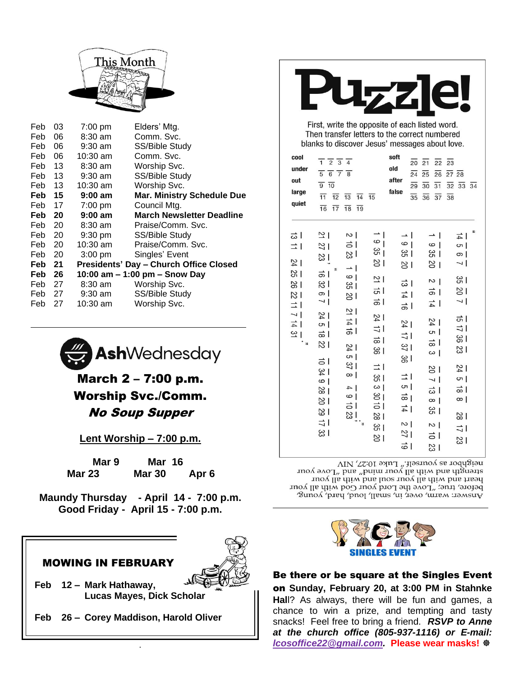

| Feb    | 03  | 7:00 pm           | Elders' Mtg.                                  |
|--------|-----|-------------------|-----------------------------------------------|
| Feb    | 06  | $8:30$ am         | Comm. Svc.                                    |
| Feb    | 06  | 9:30 am           | SS/Bible Study                                |
| Feb    | 06  | $10:30$ am        | Comm. Svc.                                    |
| Feb 13 |     | $8:30$ am         | Worship Svc.                                  |
| Feb 13 |     | 9:30 am           | SS/Bible Study                                |
| Feb 13 |     | $10:30$ am        | Worship Svc.                                  |
| Feb 15 |     | $9:00$ am         | <b>Mar. Ministry Schedule Due</b>             |
| Feb 17 |     | 7:00 pm           | Council Mtg.                                  |
| Feb 20 |     | $9:00$ am         | <b>March Newsletter Deadline</b>              |
| Feb 20 |     | 8:30 am           | Praise/Comm. Svc.                             |
| Feb 20 |     | $9:30 \text{ pm}$ | SS/Bible Study                                |
| Feb 20 |     | $10:30$ am        | Praise/Comm. Svc.                             |
| Feb 20 |     | $3:00 \text{ pm}$ | Singles' Event                                |
| Feb 21 |     |                   | <b>Presidents' Day - Church Office Closed</b> |
| Feb 26 |     |                   | 10:00 am $-$ 1:00 pm $-$ Snow Day             |
| Feb 27 |     | 8:30 am           | Worship Svc.                                  |
| Feb 27 |     | 9:30 am           | SS/Bible Study                                |
| Feb    | -27 | 10:30 am          | Worship Svc.                                  |



# March 2 – 7:00 p.m. Worship Svc./Comm. No Soup Supper

**Lent Worship – 7:00 p.m.**

| Mar 9         | Mar 16        |                  |
|---------------|---------------|------------------|
| <b>Mar 23</b> | <b>Mar 30</b> | Apr <sub>6</sub> |

**Maundy Thursday - April 14 - 7:00 p.m. Good Friday - April 15 - 7:00 p.m.**

# MOWING IN FEBRUARY



- **Feb 12 – Mark Hathaway, Lucas Mayes, Dick Scholar**
- **Feb 26 – Corey Maddison, Harold Oliver**

.



First, write the opposite of each listed word. Then transfer letters to the correct numbered blanks to discover Jesus' messages about love.

| under<br>out<br>large<br>quiet<br>ㅎ                                                                                                   | $\frac{1}{1}$ $\frac{1}{2}$ $\frac{1}{3}$ $\frac{1}{4}$<br>$\frac{1}{5}$ $\frac{1}{6}$ $\frac{1}{7}$ $\frac{1}{8}$<br>$\overline{9}$ $\overline{10}$<br>$\overline{11}$ $\overline{12}$<br>$\overline{13}$<br>$\overline{14}$<br>$\overline{16}$ $\overline{17}$<br>$\overline{18}$<br>$\overline{19}$<br>의<br>$\sim$                                                                                                        | $\overline{15}$                                                                                                                                                                                                     | $\overline{20}$<br>old<br>$\overline{24}$<br>after<br>$\overline{29}$<br>false<br>$\overline{35}$<br>$\rightarrow$ 1                                                                                            | $\overline{21}$<br>$\overline{22}$<br>$\overline{25}$<br>$\overline{26}$<br>$\overline{30}$<br>$\overline{31}$<br>$\overline{36}$<br>$\overline{37}$<br>$\rightarrow$<br>$\overline{\phantom{a}}$                                                         | $\overline{23}$<br>$\frac{1}{27}$ 28<br>$\overline{32}$ $\overline{33}$ $\overline{34}$<br>$\overline{38}$<br>1호                                                                                          |
|---------------------------------------------------------------------------------------------------------------------------------------|------------------------------------------------------------------------------------------------------------------------------------------------------------------------------------------------------------------------------------------------------------------------------------------------------------------------------------------------------------------------------------------------------------------------------|---------------------------------------------------------------------------------------------------------------------------------------------------------------------------------------------------------------------|-----------------------------------------------------------------------------------------------------------------------------------------------------------------------------------------------------------------|-----------------------------------------------------------------------------------------------------------------------------------------------------------------------------------------------------------------------------------------------------------|-----------------------------------------------------------------------------------------------------------------------------------------------------------------------------------------------------------|
| ⇒∣<br>$\frac{24}{4}$<br>15<br>$\frac{1}{6}$<br>21<br>$\overrightarrow{=}$  <br>$\overline{\phantom{0}}$<br>$\frac{1}{4}$<br>으  <br>۰, | 하<br>12<br>l ಜ<br>13<br>$\rightarrow$ 1<br>R<br>ㅎ।<br>စ  <br>$\approx$<br>မ္က  <br>စ  <br>18<br>$\overline{\phantom{0}}$<br>그 !<br>$\overline{24}$<br>$\frac{1}{4}$<br>$\sigma$<br>하<br>하<br>181<br>$\frac{24}{4}$<br>თ  <br>히<br>$\frac{37}{2}$<br>134<br>$\infty$<br>$\circ$  <br>$\vert$ 4<br>$\frac{8}{8}$<br>$\circ$  <br>$\frac{8}{2}$<br>하<br>$\frac{8}{3}$<br>$\frac{1}{2}$ $\frac{3}{23}$<br>$\overline{u}$<br>မို့ | 6<br>$\frac{3}{2}$<br>18<br>$\overline{2}$<br>하<br>$\frac{1}{6}$<br>$\frac{24}{4}$<br>$\Rightarrow$ 1<br>$\overrightarrow{a}$<br>188<br>크<br>153<br>ယ  <br>81<br>$\overrightarrow{51}$<br>$\frac{2}{8}$<br>18<br>18 | $\circ$  <br>မ္က ၂<br>$\approx$<br>ㅎ<br>$\frac{1}{4}$<br>$\frac{1}{5}$<br>$\frac{24}{4}$<br>ミー<br>37<br>$\frac{8}{8}$<br>그ㅣ<br>$\sigma$<br>$\vec{a}$<br>$\frac{1}{4}$<br>$\sim$  <br>$\frac{2}{2}$<br>$\vec{6}$ | $\circ$  <br><b>SS</b> 1<br>$\frac{8}{2}$<br>$\sim$  <br>$\frac{1}{2}$<br>$\frac{1}{4}$<br>$\frac{2}{4}$<br>თ  <br>$\frac{1}{\infty}$<br>ယ  <br>$\frac{8}{10}$<br>$\sim$ 1<br>ㅎl<br>$\infty$<br>ვ<br>ვ<br>$\sim$  <br>$\overrightarrow{c}$<br>$\approx$ 1 | $\sigma$<br>တ $ $<br>$\overline{\phantom{0}}$<br>1%<br>$\frac{1}{2}$<br>$\overline{a}$<br>하<br>⇒<br>180<br>13<br>$\frac{2}{4}$<br>$\sigma$<br>$\frac{1}{\infty}$<br>$\infty$<br>$\frac{2}{8}$<br>ニー<br>13 |

neighbor as yourself." Luke 10:27, NIV strength and with all your mind" and "Love your heart and with all your soul and with all your before, true; "Love the Lord your God with all your Answer: warn, over, in, small, loud, hard, young,



Be there or be square at the Singles Event on **Sunday, February 20, at 3:00 PM in Stahnke Hal**l? As always, there will be fun and games, a chance to win a prize, and tempting and tasty snacks! Feel free to bring a friend. *RSVP to Anne at the church office (805-937-1116) or E-mail: [lcosoffice22@g](mailto:lcosoffice22@)mail.com.* **Please wear masks!**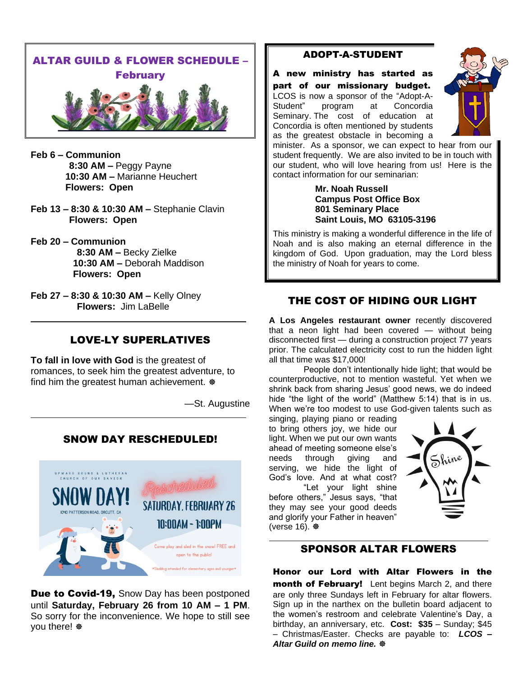

- **Feb 6 – Communion 8:30 AM –** Peggy Payne **10:30 AM –** Marianne Heuchert **Flowers: Open**
- **Feb 13 – 8:30 & 10:30 AM –** Stephanie Clavin **Flowers: Open**
- **Feb 20 – Communion 8:30 AM –** Becky Zielke **10:30 AM –** Deborah Maddison **Flowers: Open**
- **Feb 27 – 8:30 & 10:30 AM –** Kelly Olney **Flowers:** Jim LaBelle

# LOVE-LY SUPERLATIVES

**To fall in love with God** is the greatest of romances, to seek him the greatest adventure, to find him the greatest human achievement.  $\Phi$ 

—St. Augustine

# SNOW DAY RESCHEDULED!



Due to Covid-19, Snow Day has been postponed until **Saturday, February 26 from 10 AM – 1 PM**. So sorry for the inconvenience. We hope to still see you there!

### ADOPT-A-STUDENT

A new ministry has started as part of our missionary budget. LCOS is now a sponsor of the "Adopt-A-Student" program at Concordia Seminary. The cost of education at Concordia is often mentioned by students as the greatest obstacle in becoming a



minister. As a sponsor, we can expect to hear from our student frequently. We are also invited to be in touch with our student, who will love hearing from us! Here is the contact information for our seminarian:

#### **Mr. Noah Russell Campus Post Office Box 801 Seminary Place Saint Louis, MO 63105-3196**

This ministry is making a wonderful difference in the life of Noah and is also making an eternal difference in the kingdom of God. Upon graduation, may the Lord bless the ministry of Noah for years to come.

# THE COST OF HIDING OUR LIGHT

**A Los Angeles restaurant owner** recently discovered that a neon light had been covered — without being disconnected first — during a construction project 77 years prior. The calculated electricity cost to run the hidden light all that time was \$17,000!

People don't intentionally hide light; that would be counterproductive, not to mention wasteful. Yet when we shrink back from sharing Jesus' good news, we do indeed hide "the light of the world" (Matthew 5:14) that is in us. When we're too modest to use God-given talents such as

singing, playing piano or reading to bring others joy, we hide our light. When we put our own wants ahead of meeting someone else's needs through giving and serving, we hide the light of God's love. And at what cost? "Let your light shine

before others," Jesus says, "that they may see your good deeds and glorify your Father in heaven" (verse 16).



## SPONSOR ALTAR FLOWERS

Honor our Lord with Altar Flowers in the **month of February!** Lent begins March 2, and there are only three Sundays left in February for altar flowers. Sign up in the narthex on the bulletin board adjacent to the women's restroom and celebrate Valentine's Day, a birthday, an anniversary, etc. **Cost: \$35** – Sunday; \$45 – Christmas/Easter. Checks are payable to: *LCOS – Altar Guild on memo line.*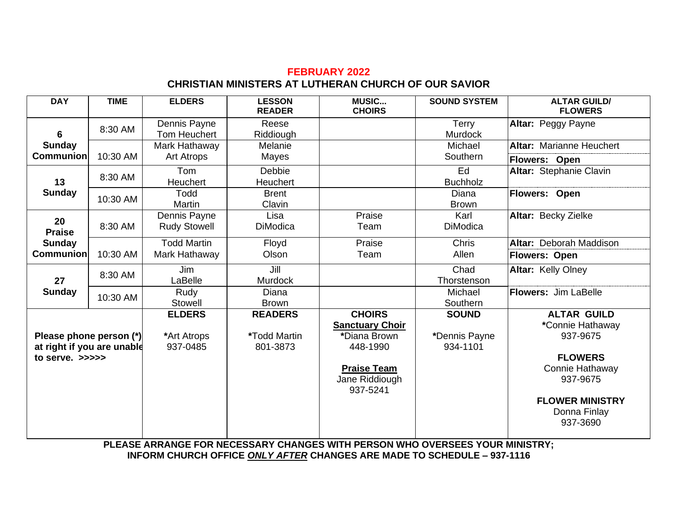# **FEBRUARY 2022 CHRISTIAN MINISTERS AT LUTHERAN CHURCH OF OUR SAVIOR**

| <b>DAY</b>                                                                  | <b>TIME</b> | <b>ELDERS</b>                            | <b>LESSON</b><br><b>READER</b>             | <b>MUSIC</b><br><b>CHOIRS</b>                                                                                           | <b>SOUND SYSTEM</b>                       | <b>ALTAR GUILD/</b><br><b>FLOWERS</b>                                                                                                                     |
|-----------------------------------------------------------------------------|-------------|------------------------------------------|--------------------------------------------|-------------------------------------------------------------------------------------------------------------------------|-------------------------------------------|-----------------------------------------------------------------------------------------------------------------------------------------------------------|
| 6                                                                           | 8:30 AM     | Dennis Payne<br><b>Tom Heuchert</b>      | Reese<br>Riddiough                         |                                                                                                                         | Terry<br>Murdock                          | Altar: Peggy Payne                                                                                                                                        |
| <b>Sunday</b>                                                               |             | Mark Hathaway                            | Melanie                                    |                                                                                                                         | Michael                                   | <b>Altar: Marianne Heuchert</b>                                                                                                                           |
| <b>Communion</b>                                                            | 10:30 AM    | <b>Art Atrops</b>                        | Mayes                                      |                                                                                                                         | Southern                                  | Flowers: Open                                                                                                                                             |
| 13                                                                          | 8:30 AM     | Tom<br><b>Heuchert</b>                   | Debbie<br>Heuchert                         |                                                                                                                         | Ed<br><b>Buchholz</b>                     | Altar: Stephanie Clavin                                                                                                                                   |
| <b>Sunday</b>                                                               | 10:30 AM    | Todd<br>Martin                           | <b>Brent</b><br>Clavin                     |                                                                                                                         | Diana<br><b>Brown</b>                     | <b>Flowers: Open</b>                                                                                                                                      |
| 20<br><b>Praise</b>                                                         | 8:30 AM     | Dennis Payne<br><b>Rudy Stowell</b>      | Lisa<br><b>DiModica</b>                    | Praise<br>Team                                                                                                          | Karl<br><b>DiModica</b>                   | Altar: Becky Zielke                                                                                                                                       |
| <b>Sunday</b>                                                               |             | <b>Todd Martin</b>                       | Floyd                                      | Praise                                                                                                                  | Chris                                     | Altar: Deborah Maddison                                                                                                                                   |
| <b>Communion</b>                                                            | 10:30 AM    | Mark Hathaway                            | Olson                                      | Team                                                                                                                    | Allen                                     | <b>Flowers: Open</b>                                                                                                                                      |
| 27                                                                          | 8:30 AM     | <b>Jim</b><br>LaBelle                    | Jill<br><b>Murdock</b>                     |                                                                                                                         | Chad<br>Thorstenson                       | Altar: Kelly Olney                                                                                                                                        |
| <b>Sunday</b>                                                               | 10:30 AM    | Rudy<br>Stowell                          | Diana<br><b>Brown</b>                      |                                                                                                                         | Michael<br>Southern                       | <b>Flowers: Jim LaBelle</b>                                                                                                                               |
| Please phone person (*)<br>at right if you are unable<br>to serve. $\gg >>$ |             | <b>ELDERS</b><br>*Art Atrops<br>937-0485 | <b>READERS</b><br>*Todd Martin<br>801-3873 | <b>CHOIRS</b><br><b>Sanctuary Choir</b><br>*Diana Brown<br>448-1990<br><b>Praise Team</b><br>Jane Riddiough<br>937-5241 | <b>SOUND</b><br>*Dennis Payne<br>934-1101 | <b>ALTAR GUILD</b><br>*Connie Hathaway<br>937-9675<br><b>FLOWERS</b><br>Connie Hathaway<br>937-9675<br><b>FLOWER MINISTRY</b><br>Donna Finlay<br>937-3690 |

**PLEASE ARRANGE FOR NECESSARY CHANGES WITH PERSON WHO OVERSEES YOUR MINISTRY; INFORM CHURCH OFFICE** *ONLY AFTER* **CHANGES ARE MADE TO SCHEDULE – 937-1116**